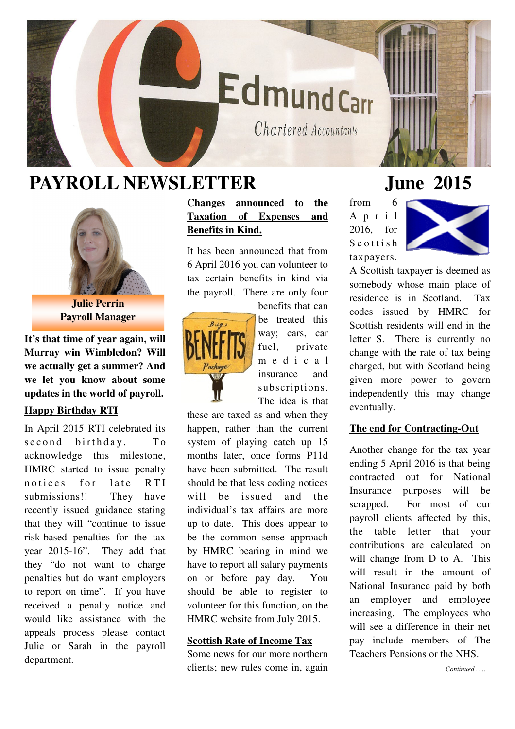# **EdmundCarr**

Chartered Accountants

## **PAYROLL NEWSLETTER June 2015**



**Julie Perrin Payroll Manager** 

**It's that time of year again, will Murray win Wimbledon? Will we actually get a summer? And we let you know about some updates in the world of payroll.** 

#### **Happy Birthday RTI**

In April 2015 RTI celebrated its second birthday. To acknowledge this milestone, HMRC started to issue penalty notices for late RTI submissions!! They have recently issued guidance stating that they will "continue to issue risk-based penalties for the tax year 2015-16". They add that they "do not want to charge penalties but do want employers to report on time". If you have received a penalty notice and would like assistance with the appeals process please contact Julie or Sarah in the payroll department.

**Changes announced to the Taxation of Expenses and Benefits in Kind.**

It has been announced that from 6 April 2016 you can volunteer to tax certain benefits in kind via the payroll. There are only four



benefits that can be treated this way; cars, car fuel, private m e d i c a l insurance and subscriptions. The idea is that

these are taxed as and when they happen, rather than the current system of playing catch up 15 months later, once forms P11d have been submitted. The result should be that less coding notices will be issued and the individual's tax affairs are more up to date. This does appear to be the common sense approach by HMRC bearing in mind we have to report all salary payments on or before pay day. You should be able to register to volunteer for this function, on the HMRC website from July 2015.

#### **Scottish Rate of Income Tax**

Some news for our more northern clients; new rules come in, again

from 6 A p r i l 2016, for  $S$  c o t t i s h taxpayers.



A Scottish taxpayer is deemed as somebody whose main place of residence is in Scotland. Tax codes issued by HMRC for Scottish residents will end in the letter S. There is currently no change with the rate of tax being charged, but with Scotland being given more power to govern independently this may change eventually.

### **The end for Contracting-Out**

Another change for the tax year ending 5 April 2016 is that being contracted out for National Insurance purposes will be scrapped. For most of our payroll clients affected by this, the table letter that your contributions are calculated on will change from D to A. This will result in the amount of National Insurance paid by both an employer and employee increasing. The employees who will see a difference in their net pay include members of The Teachers Pensions or the NHS.